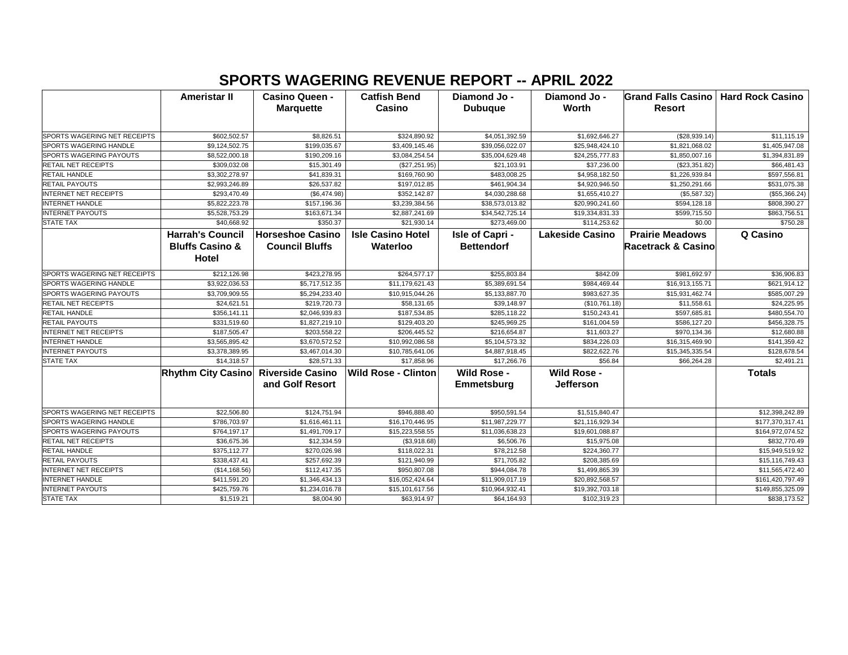## **SPORTS WAGERING REVENUE REPORT -- APRIL 2022**

|                              | <b>Ameristar II</b>        | <b>Casino Queen -</b>   | <b>Catfish Bend</b>        | Diamond Jo -       | Diamond Jo -           | Grand Falls Casino   Hard Rock Casino |                  |
|------------------------------|----------------------------|-------------------------|----------------------------|--------------------|------------------------|---------------------------------------|------------------|
|                              |                            | <b>Marquette</b>        | Casino                     | <b>Dubuque</b>     | <b>Worth</b>           | <b>Resort</b>                         |                  |
|                              |                            |                         |                            |                    |                        |                                       |                  |
| SPORTS WAGERING NET RECEIPTS | \$602,502.57               | \$8,826.51              | \$324,890.92               | \$4,051,392.59     | \$1,692,646.27         | (\$28,939.14)                         | \$11,115.19      |
| SPORTS WAGERING HANDLE       | \$9,124,502.75             | \$199,035.67            | \$3,409,145.46             | \$39,056,022.07    | \$25,948,424.10        | \$1,821,068.02                        | \$1,405,947.08   |
| SPORTS WAGERING PAYOUTS      | \$8,522,000.18             | \$190,209.16            | \$3,084,254.54             | \$35,004,629.48    | \$24,255,777.83        | \$1,850,007.16                        | \$1,394,831.89   |
| RETAIL NET RECEIPTS          | \$309,032.08               | \$15,301.49             | (\$27,251.95)              | \$21,103.91        | \$37,236.00            | (\$23,351.82)                         | \$66,481.43      |
| <b>RETAIL HANDLE</b>         | \$3,302,278.97             | \$41,839.31             | \$169,760.90               | \$483,008.25       | \$4,958,182.50         | \$1,226,939.84                        | \$597,556.81     |
| RETAIL PAYOUTS               | \$2,993,246.89             | \$26,537.82             | \$197,012.85               | \$461,904.34       | \$4,920,946.50         | \$1,250,291.66                        | \$531,075.38     |
| <b>INTERNET NET RECEIPTS</b> | \$293,470.49               | (\$6,474.98)            | \$352,142.87               | \$4,030,288.68     | \$1,655,410.27         | (\$5,587.32)                          | (\$55,366.24)    |
| INTERNET HANDLE              | \$5,822,223.78             | \$157,196.36            | \$3,239,384.56             | \$38,573,013.82    | \$20,990,241.60        | \$594,128.18                          | \$808,390.27     |
| <b>INTERNET PAYOUTS</b>      | \$5,528,753.29             | \$163,671.34            | \$2,887,241.69             | \$34,542,725.14    | \$19,334,831.33        | \$599,715.50                          | \$863,756.51     |
| <b>STATE TAX</b>             | \$40,668.92                | \$350.37                | \$21,930.14                | \$273,469.00       | \$114,253.62           | \$0.00                                | \$750.28         |
|                              | <b>Harrah's Council</b>    | <b>Horseshoe Casino</b> | <b>Isle Casino Hotel</b>   | Isle of Capri -    | <b>Lakeside Casino</b> | <b>Prairie Meadows</b>                | Q Casino         |
|                              | <b>Bluffs Casino &amp;</b> | <b>Council Bluffs</b>   | Waterloo                   | <b>Bettendorf</b>  |                        | <b>Racetrack &amp; Casino</b>         |                  |
|                              | Hotel                      |                         |                            |                    |                        |                                       |                  |
|                              |                            |                         |                            |                    |                        |                                       |                  |
| SPORTS WAGERING NET RECEIPTS | \$212,126.98               | \$423,278.95            | \$264,577.17               | \$255,803.84       | \$842.09               | \$981,692.97                          | \$36,906.83      |
| SPORTS WAGERING HANDLE       | \$3,922,036.53             | \$5,717,512.35          | \$11,179,621.43            | \$5,389,691.54     | \$984,469.44           | \$16,913,155.71                       | \$621,914.12     |
| SPORTS WAGERING PAYOUTS      | \$3,709,909.55             | \$5,294,233.40          | \$10,915,044.26            | \$5,133,887.70     | \$983,627.35           | \$15,931,462.74                       | \$585,007.29     |
| RETAIL NET RECEIPTS          | \$24,621.51                | \$219,720.73            | \$58,131.65                | \$39,148.97        | (\$10,761.18)          | \$11,558.61                           | \$24,225.95      |
| RETAIL HANDLE                | \$356,141.11               | \$2,046,939.83          | \$187,534.85               | \$285,118.22       | \$150,243.41           | \$597,685.81                          | \$480,554.70     |
| RETAIL PAYOUTS               | \$331,519.60               | \$1,827,219.10          | \$129,403.20               | \$245,969.25       | \$161,004.59           | \$586,127.20                          | \$456,328.75     |
| <b>INTERNET NET RECEIPTS</b> | \$187,505.47               | \$203,558.22            | \$206,445.52               | \$216,654.87       | \$11,603.27            | \$970,134.36                          | \$12,680.88      |
| <b>INTERNET HANDLE</b>       | \$3,565,895.42             | \$3,670,572.52          | \$10,992,086.58            | \$5,104,573.32     | \$834,226.03           | \$16,315,469.90                       | \$141,359.42     |
| <b>INTERNET PAYOUTS</b>      | \$3,378,389.95             | \$3,467,014.30          | \$10,785,641.06            | \$4,887,918.45     | \$822,622.76           | \$15,345,335.54                       | \$128,678.54     |
| <b>STATE TAX</b>             | \$14,318.57                | \$28,571.33             | \$17,858.96                | \$17,266.76        | \$56.84                | \$66,264.28                           | \$2,491.21       |
|                              | <b>Rhythm City Casino</b>  | <b>Riverside Casino</b> | <b>Wild Rose - Clinton</b> | <b>Wild Rose -</b> | Wild Rose -            |                                       | <b>Totals</b>    |
|                              |                            | and Golf Resort         |                            | <b>Emmetsburg</b>  | Jefferson              |                                       |                  |
|                              |                            |                         |                            |                    |                        |                                       |                  |
| SPORTS WAGERING NET RECEIPTS | \$22,506.80                | \$124,751.94            | \$946,888.40               | \$950,591.54       | \$1,515,840.47         |                                       | \$12,398,242.89  |
| SPORTS WAGERING HANDLE       | \$786,703.97               | \$1,616,461.11          | \$16,170,446.95            | \$11,987,229.77    | \$21,116,929.34        |                                       | \$177,370,317.41 |
| SPORTS WAGERING PAYOUTS      | \$764,197.17               | \$1,491,709.17          | \$15,223,558.55            | \$11,036,638.23    | \$19,601,088.87        |                                       | \$164,972,074.52 |
| RETAIL NET RECEIPTS          | \$36,675.36                | \$12,334.59             | (\$3,918.68)               | \$6,506.76         | \$15,975.08            |                                       | \$832,770.49     |
| RETAIL HANDLE                | \$375,112.77               | \$270,026.98            | \$118,022.31               | \$78,212.58        | \$224,360.77           |                                       | \$15,949,519.92  |
| <b>RETAIL PAYOUTS</b>        | \$338,437.41               | \$257,692.39            | \$121,940.99               | \$71,705.82        | \$208,385.69           |                                       | \$15,116,749.43  |
| INTERNET NET RECEIPTS        | (\$14, 168.56)             | \$112,417.35            | \$950,807.08               | \$944,084.78       | \$1,499,865.39         |                                       | \$11,565,472.40  |
| <b>INTERNET HANDLE</b>       | \$411,591.20               | \$1,346,434.13          | \$16,052,424.64            | \$11,909,017.19    | \$20,892,568.57        |                                       | \$161,420,797.49 |
| <b>INTERNET PAYOUTS</b>      | \$425,759.76               | \$1,234,016.78          | \$15,101,617.56            | \$10,964,932.41    | \$19,392,703.18        |                                       | \$149,855,325.09 |
| <b>STATE TAX</b>             | \$1,519.21                 | \$8,004.90              | \$63,914.97                | \$64,164.93        | \$102,319.23           |                                       | \$838,173.52     |